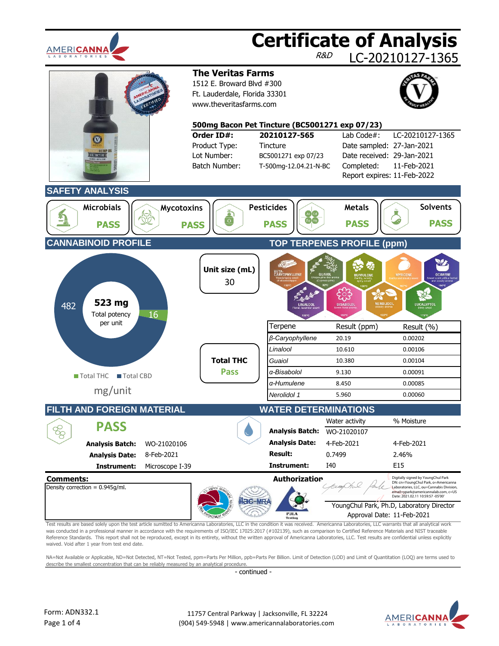| AMERI <b>cann</b> a<br><b>BORATORIES</b>                                                                                                                                                                                                                                                                                                                                                                                                                                                                                                                                                                                                |                                  |                                                                                                                   |                                                                                                                            | R&D                                                 | <b>Certificate of Analysis</b><br>LC-20210127-1365                                                                                                                                                |
|-----------------------------------------------------------------------------------------------------------------------------------------------------------------------------------------------------------------------------------------------------------------------------------------------------------------------------------------------------------------------------------------------------------------------------------------------------------------------------------------------------------------------------------------------------------------------------------------------------------------------------------------|----------------------------------|-------------------------------------------------------------------------------------------------------------------|----------------------------------------------------------------------------------------------------------------------------|-----------------------------------------------------|---------------------------------------------------------------------------------------------------------------------------------------------------------------------------------------------------|
|                                                                                                                                                                                                                                                                                                                                                                                                                                                                                                                                                                                                                                         |                                  | <b>The Veritas Farms</b><br>1512 E. Broward Blvd #300<br>Ft. Lauderdale, Florida 33301<br>www.theveritasfarms.com |                                                                                                                            |                                                     |                                                                                                                                                                                                   |
|                                                                                                                                                                                                                                                                                                                                                                                                                                                                                                                                                                                                                                         |                                  | Order ID#:<br>Product Type:<br>Lot Number:<br>Batch Number:                                                       | 500mg Bacon Pet Tincture (BC5001271 exp 07/23)<br>20210127-565<br>Tincture<br>BC5001271 exp 07/23<br>T-500mg-12.04.21-N-BC | Lab Code#:<br>Completed:                            | LC-20210127-1365<br>Date sampled: 27-Jan-2021<br>Date received: 29-Jan-2021<br>11-Feb-2021<br>Report expires: 11-Feb-2022                                                                         |
| <b>SAFETY ANALYSIS</b><br><b>Microbials</b><br><b>PASS</b>                                                                                                                                                                                                                                                                                                                                                                                                                                                                                                                                                                              | <b>Mycotoxins</b><br><b>PASS</b> | $\overline{\sigma}$                                                                                               | <b>Pesticides</b><br><b>PASS</b>                                                                                           | <b>Metals</b><br><b>PASS</b>                        | <b>Solvents</b><br><b>PASS</b>                                                                                                                                                                    |
| <b>CANNABINOID PROFILE</b>                                                                                                                                                                                                                                                                                                                                                                                                                                                                                                                                                                                                              |                                  |                                                                                                                   |                                                                                                                            | <b>TOP TERPENES PROFILE (ppm)</b>                   |                                                                                                                                                                                                   |
| 523 mg<br>482<br>Total potency                                                                                                                                                                                                                                                                                                                                                                                                                                                                                                                                                                                                          | 16                               | Unit size (mL)<br>30                                                                                              | BETA-<br>CARYOPHYLLENE<br>LINALOOL                                                                                         | <b>GUAIO</b><br><b>HUMULENE</b><br><b>BISABOLOL</b> | <b>MYRCENE</b><br><b>OCIMEN</b><br>NEROLIDOL<br><b>EUCALYPTOL</b>                                                                                                                                 |
| per unit                                                                                                                                                                                                                                                                                                                                                                                                                                                                                                                                                                                                                                |                                  |                                                                                                                   | Terpene                                                                                                                    | Result (ppm)                                        | Result (%)                                                                                                                                                                                        |
|                                                                                                                                                                                                                                                                                                                                                                                                                                                                                                                                                                                                                                         |                                  |                                                                                                                   | β-Caryophyllene                                                                                                            | 20.19                                               | 0.00202                                                                                                                                                                                           |
|                                                                                                                                                                                                                                                                                                                                                                                                                                                                                                                                                                                                                                         |                                  |                                                                                                                   | Linalool                                                                                                                   | 10.610                                              | 0.00106                                                                                                                                                                                           |
|                                                                                                                                                                                                                                                                                                                                                                                                                                                                                                                                                                                                                                         |                                  | <b>Total THC</b>                                                                                                  | Guaiol                                                                                                                     | 10.380                                              | 0.00104                                                                                                                                                                                           |
| Total THC<br><b>Total CBD</b>                                                                                                                                                                                                                                                                                                                                                                                                                                                                                                                                                                                                           |                                  | <b>Pass</b>                                                                                                       | α-Bisabolol<br>a-Humulene                                                                                                  | 9.130<br>8.450                                      | 0.00091<br>0.00085                                                                                                                                                                                |
| mg/unit                                                                                                                                                                                                                                                                                                                                                                                                                                                                                                                                                                                                                                 |                                  |                                                                                                                   | Nerolidol 1                                                                                                                | 5.960                                               | 0.00060                                                                                                                                                                                           |
|                                                                                                                                                                                                                                                                                                                                                                                                                                                                                                                                                                                                                                         |                                  |                                                                                                                   |                                                                                                                            |                                                     |                                                                                                                                                                                                   |
| FILTH AND FOREIGN MATERIAL                                                                                                                                                                                                                                                                                                                                                                                                                                                                                                                                                                                                              |                                  |                                                                                                                   | <b>WATER DETERMINATIONS</b>                                                                                                |                                                     |                                                                                                                                                                                                   |
| <b>PASS</b>                                                                                                                                                                                                                                                                                                                                                                                                                                                                                                                                                                                                                             |                                  |                                                                                                                   | <b>Analysis Batch:</b>                                                                                                     | Water activity<br>WO-21020107                       | % Moisture                                                                                                                                                                                        |
| <b>Analysis Batch:</b>                                                                                                                                                                                                                                                                                                                                                                                                                                                                                                                                                                                                                  | WO-21020106                      |                                                                                                                   | <b>Analysis Date:</b>                                                                                                      | 4-Feb-2021                                          | 4-Feb-2021                                                                                                                                                                                        |
| <b>Analysis Date:</b>                                                                                                                                                                                                                                                                                                                                                                                                                                                                                                                                                                                                                   | 8-Feb-2021                       |                                                                                                                   | <b>Result:</b>                                                                                                             | 0.7499                                              | 2.46%                                                                                                                                                                                             |
| Instrument:                                                                                                                                                                                                                                                                                                                                                                                                                                                                                                                                                                                                                             | Microscope I-39                  |                                                                                                                   | Instrument:                                                                                                                | I40                                                 | E15                                                                                                                                                                                               |
| <b>Comments:</b><br>Density correction = $0.945q/ml$ .                                                                                                                                                                                                                                                                                                                                                                                                                                                                                                                                                                                  |                                  |                                                                                                                   | Authorization                                                                                                              |                                                     | Digitally signed by YoungChul Park<br>DN: cn=YoungChul Park, o=Americanna<br>Laboratories, LLC, ou=Cannabis Division,<br>email=ypark@americannalab.com, c=US<br>Date: 2021.02.11 10:59:57 -05'00' |
|                                                                                                                                                                                                                                                                                                                                                                                                                                                                                                                                                                                                                                         |                                  |                                                                                                                   | P.ILA<br><b>Testing</b>                                                                                                    |                                                     | YoungChul Park, Ph.D, Laboratory Director<br>Approval Date: 11-Feb-2021                                                                                                                           |
| Test results are based solely upon the test article sumitted to Americanna Laboratories, LLC in the condition it was received. Americanna Laboratories, LLC warrants that all analytical work<br>was conducted in a professional manner in accordance with the requirements of ISO/IEC 17025:2017 (#102139), such as comparison to Certified Reference Materials and NIST traceable<br>Reference Standards. This report shall not be reproduced, except in its entirety, without the written approval of Americanna Laboratories, LLC. Test results are confidential unless explicitly<br>waived. Void after 1 year from test end date. |                                  |                                                                                                                   |                                                                                                                            |                                                     |                                                                                                                                                                                                   |
| NA=Not Available or Applicable, ND=Not Detected, NT=Not Tested, ppm=Parts Per Million, ppb=Parts Per Billion. Limit of Detection (LOD) and Limit of Quantitation (LOQ) are terms used to                                                                                                                                                                                                                                                                                                                                                                                                                                                |                                  |                                                                                                                   |                                                                                                                            |                                                     |                                                                                                                                                                                                   |
| describe the smallest concentration that can be reliably measured by an analytical procedure.                                                                                                                                                                                                                                                                                                                                                                                                                                                                                                                                           |                                  | - continued -                                                                                                     |                                                                                                                            |                                                     |                                                                                                                                                                                                   |
| Form: ADN332.1<br>Page 1 of 4                                                                                                                                                                                                                                                                                                                                                                                                                                                                                                                                                                                                           |                                  |                                                                                                                   | 11757 Central Parkway   Jacksonville, FL 32224<br>(904) 549-5948   www.americannalaboratories.com                          |                                                     | AMERI <b>CA</b><br>A B O R A<br>O <sub>R</sub>                                                                                                                                                    |

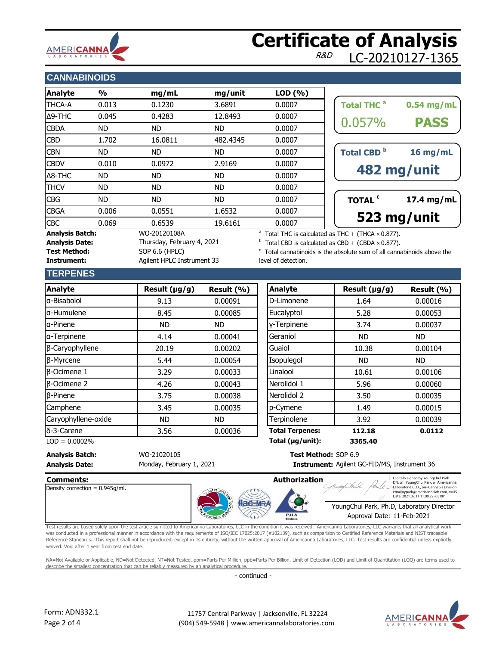

## **Certificate of Analysis** LC-20210127-1365

### **CANNABINOIDS**

| <b>Analyte</b>                                  | $\frac{0}{0}$ | mg/mL                                      | mg/unit   | LOD(%) |                                                                                                                                            |
|-------------------------------------------------|---------------|--------------------------------------------|-----------|--------|--------------------------------------------------------------------------------------------------------------------------------------------|
| <b>THCA-A</b>                                   | 0.013         | 0.1230                                     | 3.6891    | 0.0007 | Total THC <sup>a</sup><br>$0.54$ mg/mL                                                                                                     |
| $\Delta$ 9-THC                                  | 0.045         | 0.4283                                     | 12.8493   | 0.0007 |                                                                                                                                            |
| <b>CBDA</b>                                     | ND.           | ND.                                        | ND.       | 0.0007 | 0.057%<br><b>PASS</b>                                                                                                                      |
| <b>CBD</b>                                      | 1.702         | 16.0811                                    | 482.4345  | 0.0007 |                                                                                                                                            |
| <b>CBN</b>                                      | ND.           | ND.                                        | ND.       | 0.0007 | Total CBD <sup>b</sup><br>16 mg/mL                                                                                                         |
| <b>CBDV</b>                                     | 0.010         | 0.0972                                     | 2.9169    | 0.0007 |                                                                                                                                            |
| $\Delta$ 8-THC                                  | <b>ND</b>     | ND.                                        | ND.       | 0.0007 | 482 mg/unit                                                                                                                                |
| <b>THCV</b>                                     | <b>ND</b>     | ND.                                        | <b>ND</b> | 0.0007 |                                                                                                                                            |
| <b>CBG</b>                                      | <b>ND</b>     | ND.                                        | <b>ND</b> | 0.0007 | TOTAL <sup>c</sup><br>17.4 mg/mL                                                                                                           |
| <b>CBGA</b>                                     | 0.006         | 0.0551                                     | 1.6532    | 0.0007 |                                                                                                                                            |
| <b>CBC</b>                                      | 0.069         | 0.6539                                     | 19.6161   | 0.0007 | 523 mg/unit                                                                                                                                |
| <b>Analysis Batch:</b><br><b>Analysis Date:</b> |               | WO-20120108A<br>Thursday, February 4, 2021 |           |        | <sup>a</sup> Total THC is calculated as THC + (THCA $\times$ 0.877).<br>$^{\rm b}$ Total CBD is calculated as CBD + (CBDA $\times$ 0.877). |

| 0.057%<br>Total CBD <sup>b</sup> | <b>PASS</b><br>$16$ mg/mL |
|----------------------------------|---------------------------|
|                                  |                           |
|                                  | 482 mg/unit               |
| TOTAL <sup>c</sup>               | 17.4 mg/mL                |

Total CBD is calculated as CBD + (CBDA  $\times$  0.877).

 $\degree$  Total cannabinoids is the absolute sum of all cannabinoids above the level of detection.

#### **TERPENES**

Test Method: SOP 6.6 (HPLC)

**Instrument:** Agilent HPLC Instrument 33

| <b>Analyte</b>      | Result $(\mu g/g)$ | Result (%) | Analyte                | Result (µg/g) |
|---------------------|--------------------|------------|------------------------|---------------|
| a-Bisabolol         | 9.13               | 0.00091    | D-Limonene             | 1.64          |
| la-Humulene         | 8.45               | 0.00085    | Eucalyptol             | 5.28          |
| a-Pinene            | <b>ND</b>          | ND.        | y-Terpinene            | 3.74          |
| a-Terpinene         | 4.14               | 0.00041    | Geraniol               | <b>ND</b>     |
| β-Caryophyllene     | 20.19              | 0.00202    | Guaiol                 | 10.38         |
| β-Myrcene           | 5.44               | 0.00054    | Isopulegol             | <b>ND</b>     |
| $\beta$ -Ocimene 1  | 3.29               | 0.00033    | Linalool               | 10.61         |
| $\beta$ -Ocimene 2  | 4.26               | 0.00043    | Nerolidol 1            | 5.96          |
| $\beta$ -Pinene     | 3.75               | 0.00038    | Nerolidol 2            | 3.50          |
| Camphene            | 3.45               | 0.00035    | p-Cymene               | 1.49          |
| Caryophyllene-oxide | <b>ND</b>          | <b>ND</b>  | Terpinolene            | 3.92          |
| δ-3-Carene          | 3.56               | 0.00036    | <b>Total Terpenes:</b> | 112.18        |

| <b>Analyte</b>      | Result $(\mu g/g)$ | Result (%) | Analyte                | Result $(\mu g/g)$ |
|---------------------|--------------------|------------|------------------------|--------------------|
| a-Bisabolol         | 9.13               | 0.00091    | D-Limonene             | 1.64               |
| a-Humulene          | 8.45               | 0.00085    | Eucalyptol             | 5.28               |
| a-Pinene            | <b>ND</b>          | <b>ND</b>  | y-Terpinene            | 3.74               |
| a-Terpinene         | 4.14               | 0.00041    | Geraniol               | ND.                |
| β-Caryophyllene     | 20.19              | 0.00202    | Guaiol                 | 10.38              |
| β-Myrcene           | 5.44               | 0.00054    | Isopulegol             | ND.                |
| <b>B-Ocimene 1</b>  | 3.29               | 0.00033    | Linalool               | 10.61              |
| <b>B-Ocimene 2</b>  | 4.26               | 0.00043    | Nerolidol 1            | 5.96               |
| <b>B-Pinene</b>     | 3.75               | 0.00038    | Nerolidol 2            | 3.50               |
| Camphene            | 3.45               | 0.00035    | p-Cymene               | 1.49               |
| Caryophyllene-oxide | ND.                | ND.        | Terpinolene            | 3.92               |
| δ-3-Carene          | 3.56               | 0.00036    | <b>Total Terpenes:</b> | 112.18             |
| $LOD = 0.0002%$     |                    |            | Total (µg/unit):       | 3365.40            |

Instrument: Agilent GC-FID/MS, Instrument 36

#### **Analysis Batch:** WO-21020105 **Test Method:** SOP 6.9 **Analysis Date: Instrument:** Monday, February 1, 2021



Test results are based solely upon the test article sumitted to Americanna Laboratories, LLC in the condition it was received. Americanna Laboratories, LLC warrants that all analytical work was conducted in a professional manner in accordance with the requirements of ISO/IEC 17025:2017 (#102139), such as comparison to Certified Reference Materials and NIST traceable Reference Standards. This report shall not be reproduced, except in its entirety, without the written approval of Americanna Laboratories, LLC. Test results are confidential unless explicitly waived. Void after 1 year from test end date.

NA=Not Available or Applicable, ND=Not Detected, NT=Not Tested, ppm=Parts Per Million, ppb=Parts Per Billion. Limit of Detection (LOD) and Limit of Quantitation (LOQ) are terms used to describe the smallest concentration that can be reliably measured by an analytical procedure.

- continued -



Digitally signed by YoungChul Park<br>DN: cn=YoungChul Park, o=American Laboratories, LLC, ou=Cannabis Division, email=ypark@americannalab.com, c=US Date: 2021.02.11 11:00:22 -05'00'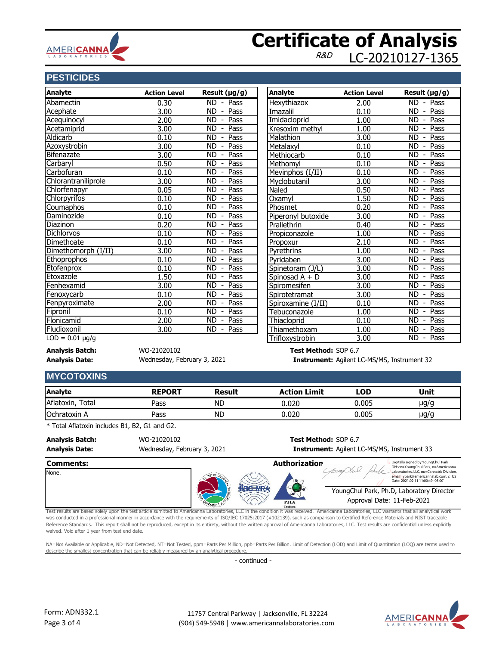

### **Certificate of Analysis** LC-20210127-1365

### **PESTICIDES**

| <b>Analyte</b>       | <b>Action Level</b> | Result (µg/g)                                       | <b>Analyte</b>     | <b>Action Level</b> |
|----------------------|---------------------|-----------------------------------------------------|--------------------|---------------------|
| Abamectin            | 0.30                | ND.<br>$-$ Pass                                     | Hexythiazox        | 2.00                |
| Acephate             | 3.00                | <b>ND</b><br>Pass<br>$\overline{\phantom{a}}$       | Imazalil           | 0.10                |
| Acequinocyl          | 2.00                | Pass<br><b>ND</b><br>$\overline{\phantom{a}}$       | Imidacloprid       | 1.00                |
| Acetamiprid          | 3.00                | <b>ND</b><br>Pass<br>$\overline{\phantom{a}}$       | Kresoxim methyl    | 1.00                |
| Aldicarb             | 0.10                | Pass<br><b>ND</b><br>$\overline{\phantom{a}}$       | Malathion          | 3.00                |
| Azoxystrobin         | 3.00                | <b>ND</b><br>Pass<br>$\blacksquare$                 | Metalaxyl          | 0.10                |
| Bifenazate           | 3.00                | Pass<br><b>ND</b>                                   | Methiocarb         | 0.10                |
| Carbaryl             | 0.50                | <b>ND</b><br>Pass<br>$\overline{\phantom{a}}$       | Methomyl           | 0.10                |
| Carbofuran           | 0.10                | <b>ND</b><br>Pass<br>$\overline{\phantom{a}}$       | Mevinphos (I/II)   | 0.10                |
| Chlorantraniliprole  | 3.00                | <b>ND</b><br>Pass<br>$\overline{\phantom{a}}$       | Myclobutanil       | 3.00                |
| Chlorfenapyr         | 0.05                | Pass<br><b>ND</b>                                   | Naled              | 0.50                |
| <b>Chlorpyrifos</b>  | 0.10                | $\overline{ND}$<br>Pass<br>$\overline{\phantom{a}}$ | Oxamyl             | 1.50                |
| Coumaphos            | 0.10                | Pass<br><b>ND</b><br>$\overline{\phantom{a}}$       | Phosmet            | 0.20                |
| Daminozide           | 0.10                | <b>ND</b><br>Pass<br>$\overline{\phantom{a}}$       | Piperonyl butoxide | 3.00                |
| Diazinon             | 0.20                | Pass<br><b>ND</b><br>$\overline{\phantom{a}}$       | Prallethrin        | 0.40                |
| <b>Dichlorvos</b>    | 0.10                | Pass<br><b>ND</b><br>$\overline{\phantom{a}}$       | Propiconazole      | 1.00                |
| Dimethoate           | 0.10                | Pass<br><b>ND</b><br>$\overline{\phantom{a}}$       | Propoxur           | 2.10                |
| Dimethomorph (I/II)  | 3.00                | <b>ND</b><br>Pass<br>$\overline{\phantom{a}}$       | Pyrethrins         | 1.00                |
| Ethoprophos          | 0.10                | Pass<br><b>ND</b>                                   | Pvridaben          | 3.00                |
| Etofenprox           | 0.10                | <b>ND</b><br>Pass<br>$\overline{\phantom{a}}$       | Spinetoram (J/L)   | 3.00                |
| Etoxazole            | 1.50                | <b>ND</b><br>Pass                                   | Spinosad A + D     | 3.00                |
| Fenhexamid           | 3.00                | <b>ND</b><br>Pass<br>$\overline{\phantom{a}}$       | Spiromesifen       | 3.00                |
| Fenoxycarb           | 0.10                | <b>ND</b><br>Pass                                   | Spirotetramat      | 3.00                |
| Fenpyroximate        | 2.00                | $\overline{ND}$<br>Pass<br>$\overline{\phantom{a}}$ | Spiroxamine (I/II) | 0.10                |
| Fipronil             | 0.10                | Pass<br><b>ND</b>                                   | Tebuconazole       | 1.00                |
| Flonicamid           | 2.00                | <b>ND</b><br>Pass<br>$\overline{\phantom{a}}$       | Thiacloprid        | 0.10                |
| Fludioxonil          | 3.00                | <b>ND</b><br>Pass<br>$\overline{\phantom{a}}$       | Thiamethoxam       | 1.00                |
| $LOD = 0.01 \mu g/g$ |                     |                                                     | Trifloxystrobin    | 3.00                |

**Analysis Batch:** WO-21020102 **Test Method:** SOP 6.7 Wednesday, February 3, 2021

**Analysis Date: Instrument:** Agilent LC-MS/MS, Instrument 32

### **MYCOTOXINS**

| Analyte             | <b>REPORT</b> | <b>Result</b> | <b>Action Limit</b> | LOD   | Unit      |
|---------------------|---------------|---------------|---------------------|-------|-----------|
| Aflatoxin,<br>Total | Pass          | ND            | 0.020               | 0.005 | µg/g      |
| <b>Ochratoxin A</b> | Pass          | <b>ND</b>     | 0.020               | 0.005 | $\mu$ g/g |

\* Total Aflatoxin includes B1, B2, G1 and G2.

**Analysis Batch:** WO-21020102 **Test Method:** SOP 6.7

Wednesday, February 3, 2021

# **Analysis Date: Instrument:** Agilent LC-MS/MS, Instrument 33



Test results are based solely upon the test article sumitted to Americanna Laboratories, LLC in the condition it was received. Americanna Laboratories, LLC warrants that all analytical work was conducted in a professional manner in accordance with the requirements of ISO/IEC 17025:2017 (#102139), such as comparison to Certified Reference Materials and NIST traceable Reference Standards. This report shall not be reproduced, except in its entirety, without the written approval of Americanna Laboratories, LLC. Test results are confidential unless explicitly waived. Void after 1 year from test end date.

NA=Not Available or Applicable, ND=Not Detected, NT=Not Tested, ppm=Parts Per Million, ppb=Parts Per Billion. Limit of Detection (LOD) and Limit of Quantitation (LOQ) are terms used to describe the smallest concentration that can be reliably measured by an analytical procedure

- continued -